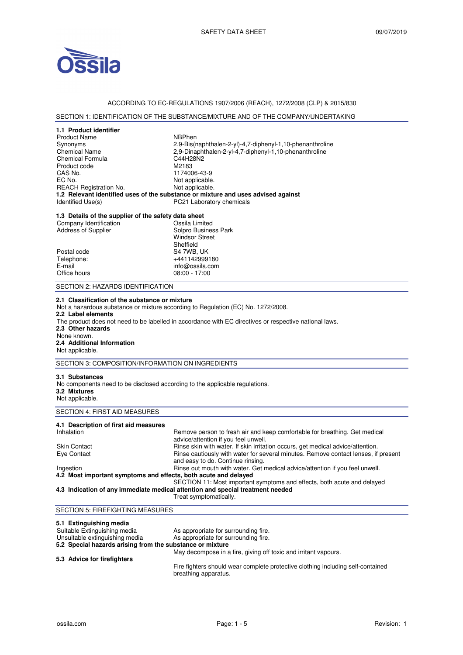

### ACCORDING TO EC-REGULATIONS 1907/2006 (REACH), 1272/2008 (CLP) & 2015/830

# SECTION 1: IDENTIFICATION OF THE SUBSTANCE/MIXTURE AND OF THE COMPANY/UNDERTAKING

| 1.1 Product identifier                                                                                                                                                                                            |                                                                                    |  |  |  |
|-------------------------------------------------------------------------------------------------------------------------------------------------------------------------------------------------------------------|------------------------------------------------------------------------------------|--|--|--|
| <b>Product Name</b>                                                                                                                                                                                               | NBPhen                                                                             |  |  |  |
| Synonyms                                                                                                                                                                                                          | 2,9-Bis(naphthalen-2-yl)-4,7-diphenyl-1,10-phenanthroline                          |  |  |  |
| <b>Chemical Name</b>                                                                                                                                                                                              | 2.9-Dinaphthalen-2-yl-4.7-diphenyl-1.10-phenanthroline                             |  |  |  |
| <b>Chemical Formula</b>                                                                                                                                                                                           | C44H28N2                                                                           |  |  |  |
| Product code                                                                                                                                                                                                      | M2183                                                                              |  |  |  |
| CAS No.                                                                                                                                                                                                           | 1174006-43-9                                                                       |  |  |  |
| EC No.<br><b>REACH Registration No.</b>                                                                                                                                                                           | Not applicable.<br>Not applicable.                                                 |  |  |  |
|                                                                                                                                                                                                                   | 1.2 Relevant identified uses of the substance or mixture and uses advised against  |  |  |  |
| Identified Use(s)                                                                                                                                                                                                 | PC21 Laboratory chemicals                                                          |  |  |  |
|                                                                                                                                                                                                                   |                                                                                    |  |  |  |
| 1.3 Details of the supplier of the safety data sheet                                                                                                                                                              |                                                                                    |  |  |  |
| Company Identification                                                                                                                                                                                            | Ossila Limited                                                                     |  |  |  |
| <b>Address of Supplier</b>                                                                                                                                                                                        | Solpro Business Park                                                               |  |  |  |
|                                                                                                                                                                                                                   | <b>Windsor Street</b>                                                              |  |  |  |
|                                                                                                                                                                                                                   | Sheffield                                                                          |  |  |  |
| Postal code<br>Telephone:                                                                                                                                                                                         | S4 7WB, UK<br>+441142999180                                                        |  |  |  |
| E-mail                                                                                                                                                                                                            | info@ossila.com                                                                    |  |  |  |
| Office hours                                                                                                                                                                                                      | $08:00 - 17:00$                                                                    |  |  |  |
|                                                                                                                                                                                                                   |                                                                                    |  |  |  |
| SECTION 2: HAZARDS IDENTIFICATION                                                                                                                                                                                 |                                                                                    |  |  |  |
| 2.2 Label elements<br>The product does not need to be labelled in accordance with EC directives or respective national laws.<br>2.3 Other hazards<br>None known.<br>2.4 Additional Information<br>Not applicable. |                                                                                    |  |  |  |
| SECTION 3: COMPOSITION/INFORMATION ON INGREDIENTS                                                                                                                                                                 |                                                                                    |  |  |  |
| 3.1 Substances<br>No components need to be disclosed according to the applicable regulations.<br>3.2 Mixtures<br>Not applicable.                                                                                  |                                                                                    |  |  |  |
| <b>SECTION 4: FIRST AID MEASURES</b>                                                                                                                                                                              |                                                                                    |  |  |  |
| 4.1 Description of first aid measures                                                                                                                                                                             |                                                                                    |  |  |  |
| Inhalation                                                                                                                                                                                                        | Remove person to fresh air and keep comfortable for breathing. Get medical         |  |  |  |
|                                                                                                                                                                                                                   | advice/attention if you feel unwell.                                               |  |  |  |
| <b>Skin Contact</b>                                                                                                                                                                                               | Rinse skin with water. If skin irritation occurs, get medical advice/attention.    |  |  |  |
| Eye Contact                                                                                                                                                                                                       | Rinse cautiously with water for several minutes. Remove contact lenses, if present |  |  |  |
|                                                                                                                                                                                                                   | and easy to do. Continue rinsing.                                                  |  |  |  |
| Ingestion                                                                                                                                                                                                         | Rinse out mouth with water. Get medical advice/attention if you feel unwell.       |  |  |  |
| 4.2 Most important symptoms and effects, both acute and delayed                                                                                                                                                   |                                                                                    |  |  |  |
| SECTION 11: Most important symptoms and effects, both acute and delayed<br>4.3 Indication of any immediate medical attention and special treatment needed                                                         |                                                                                    |  |  |  |
|                                                                                                                                                                                                                   | Treat symptomatically.                                                             |  |  |  |
|                                                                                                                                                                                                                   |                                                                                    |  |  |  |
| <b>SECTION 5: FIREFIGHTING MEASURES</b>                                                                                                                                                                           |                                                                                    |  |  |  |
| 5.1 Extinguishing media                                                                                                                                                                                           |                                                                                    |  |  |  |

| Suitable Extinguishing media                              | As appropriate for surrounding fire.                            |
|-----------------------------------------------------------|-----------------------------------------------------------------|
| Unsuitable extinguishing media                            | As appropriate for surrounding fire.                            |
| 5.2 Special hazards arising from the substance or mixture |                                                                 |
|                                                           | May decompose in a fire, giving off toxic and irritant vapours. |
| 5.3 Advice for firefighters                               |                                                                 |
|                                                           |                                                                 |

Fire fighters should wear complete protective clothing including self-contained breathing apparatus.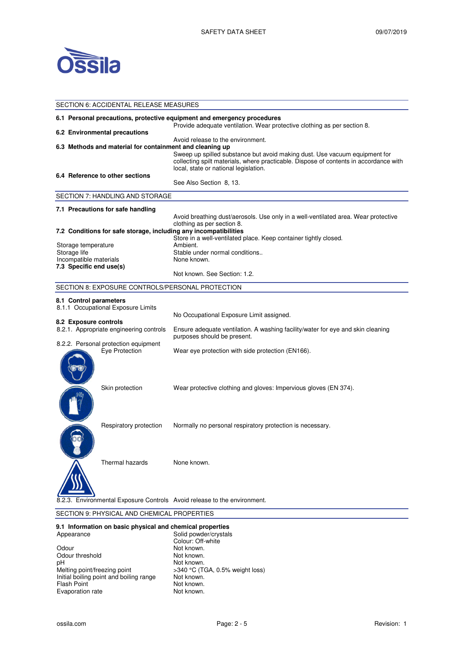

| SECTION 6: ACCIDENTAL RELEASE MEASURES                                                                                                              |                                                                                                                                                                                                                                                   |  |
|-----------------------------------------------------------------------------------------------------------------------------------------------------|---------------------------------------------------------------------------------------------------------------------------------------------------------------------------------------------------------------------------------------------------|--|
| 6.1 Personal precautions, protective equipment and emergency procedures<br>Provide adequate ventilation. Wear protective clothing as per section 8. |                                                                                                                                                                                                                                                   |  |
| 6.2 Environmental precautions                                                                                                                       |                                                                                                                                                                                                                                                   |  |
| 6.3 Methods and material for containment and cleaning up                                                                                            | Avoid release to the environment.<br>Sweep up spilled substance but avoid making dust. Use vacuum equipment for<br>collecting spilt materials, where practicable. Dispose of contents in accordance with<br>local, state or national legislation. |  |
| 6.4 Reference to other sections                                                                                                                     | See Also Section 8, 13.                                                                                                                                                                                                                           |  |
| SECTION 7: HANDLING AND STORAGE                                                                                                                     |                                                                                                                                                                                                                                                   |  |
| 7.1 Precautions for safe handling                                                                                                                   |                                                                                                                                                                                                                                                   |  |
|                                                                                                                                                     | Avoid breathing dust/aerosols. Use only in a well-ventilated area. Wear protective<br>clothing as per section 8.                                                                                                                                  |  |
| 7.2 Conditions for safe storage, including any incompatibilities                                                                                    | Store in a well-ventilated place. Keep container tightly closed.                                                                                                                                                                                  |  |
| Storage temperature                                                                                                                                 | Ambient.                                                                                                                                                                                                                                          |  |
| Storage life                                                                                                                                        | Stable under normal conditions                                                                                                                                                                                                                    |  |
| Incompatible materials                                                                                                                              | None known.                                                                                                                                                                                                                                       |  |
| 7.3 Specific end use(s)                                                                                                                             | Not known. See Section: 1.2.                                                                                                                                                                                                                      |  |
| SECTION 8: EXPOSURE CONTROLS/PERSONAL PROTECTION                                                                                                    |                                                                                                                                                                                                                                                   |  |
| 8.1 Control parameters<br>8.1.1 Occupational Exposure Limits                                                                                        | No Occupational Exposure Limit assigned.                                                                                                                                                                                                          |  |
| 8.2 Exposure controls<br>8.2.1. Appropriate engineering controls                                                                                    | Ensure adequate ventilation. A washing facility/water for eye and skin cleaning<br>purposes should be present.                                                                                                                                    |  |
| 8.2.2. Personal protection equipment<br>Eye Protection                                                                                              | Wear eye protection with side protection (EN166).                                                                                                                                                                                                 |  |
| Skin protection                                                                                                                                     | Wear protective clothing and gloves: Impervious gloves (EN 374).                                                                                                                                                                                  |  |
| Respiratory protection                                                                                                                              | Normally no personal respiratory protection is necessary.                                                                                                                                                                                         |  |
| Thermal hazards                                                                                                                                     | None known.                                                                                                                                                                                                                                       |  |
|                                                                                                                                                     | Environmental Exposure Controls Avoid release to the environment.                                                                                                                                                                                 |  |

## SECTION 9: PHYSICAL AND CHEMICAL PROPERTIES

#### **9.1 Information on basic physical and chemical properties**

| Appearance                              | Solid powder/crystals           |
|-----------------------------------------|---------------------------------|
|                                         | Colour: Off-white               |
| Odour                                   | Not known.                      |
| Odour threshold                         | Not known.                      |
| рH                                      | Not known.                      |
| Melting point/freezing point            | >340 °C (TGA, 0.5% weight loss) |
| Initial boiling point and boiling range | Not known.                      |
| <b>Flash Point</b>                      | Not known.                      |
| Evaporation rate                        | Not known.                      |
|                                         |                                 |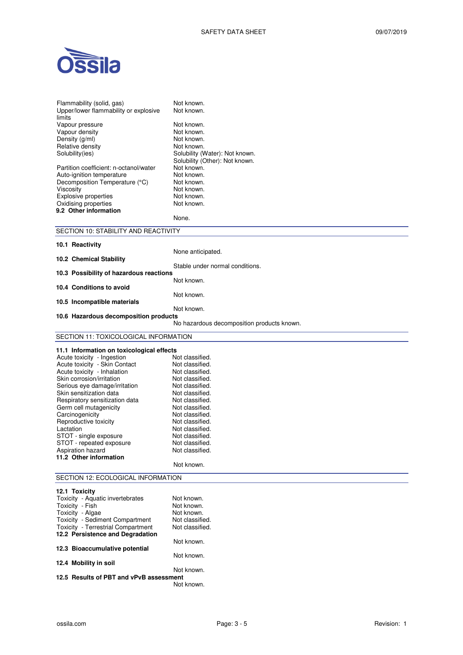

| Flammability (solid, gas)<br>Upper/lower flammability or explosive         | Not known.                                 |  |
|----------------------------------------------------------------------------|--------------------------------------------|--|
| limits                                                                     | Not known.                                 |  |
| Vapour pressure                                                            | Not known.                                 |  |
| Vapour density                                                             | Not known.                                 |  |
| Density (g/ml)<br>Relative density                                         | Not known.<br>Not known.                   |  |
| Solubility(ies)                                                            | Solubility (Water): Not known.             |  |
|                                                                            | Solubility (Other): Not known.             |  |
| Partition coefficient: n-octanol/water                                     | Not known.                                 |  |
| Auto-ignition temperature                                                  | Not known.                                 |  |
| Decomposition Temperature (°C)                                             | Not known.                                 |  |
| Viscosity<br>Explosive properties                                          | Not known.<br>Not known.                   |  |
| Oxidising properties                                                       | Not known.                                 |  |
| 9.2 Other information                                                      |                                            |  |
|                                                                            | None.                                      |  |
| SECTION 10: STABILITY AND REACTIVITY                                       |                                            |  |
| 10.1 Reactivity                                                            |                                            |  |
|                                                                            | None anticipated.                          |  |
| 10.2 Chemical Stability                                                    |                                            |  |
| Stable under normal conditions.<br>10.3 Possibility of hazardous reactions |                                            |  |
|                                                                            | Not known.                                 |  |
| 10.4 Conditions to avoid                                                   |                                            |  |
|                                                                            | Not known.                                 |  |
| 10.5 Incompatible materials                                                | Not known.                                 |  |
| 10.6 Hazardous decomposition products                                      |                                            |  |
|                                                                            | No hazardous decomposition products known. |  |
| SECTION 11: TOXICOLOGICAL INFORMATION                                      |                                            |  |
| 11.1 Information on toxicological effects                                  |                                            |  |
| Acute toxicity - Ingestion                                                 | Not classified.                            |  |
| Acute toxicity - Skin Contact                                              | Not classified.                            |  |
| Acute toxicity - Inhalation                                                | Not classified.                            |  |
| Skin corrosion/irritation                                                  | Not classified.                            |  |
| Serious eye damage/irritation                                              | Not classified.                            |  |
| Skin sensitization data<br>Respiratory sensitization data                  | Not classified.<br>Not classified.         |  |
| Germ cell mutagenicity                                                     | Not classified.                            |  |
| Carcinogenicity                                                            | Not classified.                            |  |
| Reproductive toxicity                                                      | Not classified.                            |  |
| Lactation                                                                  | Not classified.                            |  |
| STOT - single exposure                                                     | Not classified.                            |  |
| STOT - repeated exposure                                                   | Not classified.                            |  |
| Aspiration hazard<br>11.2 Other information                                | Not classified.                            |  |
|                                                                            | Not known.                                 |  |
| SECTION 12: ECOLOGICAL INFORMATION                                         |                                            |  |
|                                                                            |                                            |  |
| 12.1 Toxicity                                                              |                                            |  |
| Toxicity - Aquatic invertebrates<br>Toxicity - Fish                        | Not known.<br>Not known.                   |  |
| Toxicity - Algae                                                           | Not known.                                 |  |
| Toxicity - Sediment Compartment                                            | Not classified.                            |  |
| Toxicity - Terrestrial Compartment                                         | Not classified.                            |  |
| 12.2 Persistence and Degradation                                           |                                            |  |
|                                                                            |                                            |  |
|                                                                            | Not known.                                 |  |
| 12.3 Bioaccumulative potential                                             | Not known.                                 |  |
| 12.4 Mobility in soil                                                      | Not known.                                 |  |

**12.5 Results of PBT and vPvB assessment**  Not known.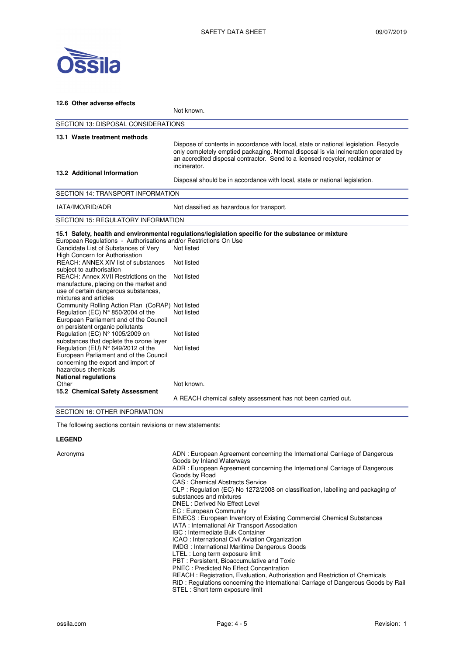

| 12.6 Other adverse effects                                                                                                                                                                                                                                                                                                                                                                                                                                                    |                                                                                                                                                                                                                                                                            |  |  |
|-------------------------------------------------------------------------------------------------------------------------------------------------------------------------------------------------------------------------------------------------------------------------------------------------------------------------------------------------------------------------------------------------------------------------------------------------------------------------------|----------------------------------------------------------------------------------------------------------------------------------------------------------------------------------------------------------------------------------------------------------------------------|--|--|
|                                                                                                                                                                                                                                                                                                                                                                                                                                                                               | Not known.                                                                                                                                                                                                                                                                 |  |  |
|                                                                                                                                                                                                                                                                                                                                                                                                                                                                               | <b>SECTION 13: DISPOSAL CONSIDERATIONS</b>                                                                                                                                                                                                                                 |  |  |
| 13.1 Waste treatment methods                                                                                                                                                                                                                                                                                                                                                                                                                                                  | Dispose of contents in accordance with local, state or national legislation. Recycle<br>only completely emptied packaging. Normal disposal is via incineration operated by<br>an accredited disposal contractor. Send to a licensed recycler, reclaimer or<br>incinerator. |  |  |
| 13.2 Additional Information                                                                                                                                                                                                                                                                                                                                                                                                                                                   | Disposal should be in accordance with local, state or national legislation.                                                                                                                                                                                                |  |  |
| <b>SECTION 14: TRANSPORT INFORMATION</b>                                                                                                                                                                                                                                                                                                                                                                                                                                      |                                                                                                                                                                                                                                                                            |  |  |
| IATA/IMO/RID/ADR                                                                                                                                                                                                                                                                                                                                                                                                                                                              | Not classified as hazardous for transport.                                                                                                                                                                                                                                 |  |  |
| <b>SECTION 15: REGULATORY INFORMATION</b>                                                                                                                                                                                                                                                                                                                                                                                                                                     |                                                                                                                                                                                                                                                                            |  |  |
| European Regulations - Authorisations and/or Restrictions On Use<br>Candidate List of Substances of Very<br>High Concern for Authorisation<br>REACH: ANNEX XIV list of substances<br>subject to authorisation<br>REACH: Annex XVII Restrictions on the<br>manufacture, placing on the market and<br>use of certain dangerous substances,<br>mixtures and articles<br>Community Rolling Action Plan (CoRAP) Not listed                                                         | 15.1 Safety, health and environmental regulations/legislation specific for the substance or mixture<br>Not listed<br>Not listed<br>Not listed                                                                                                                              |  |  |
| Regulation (EC) N° 850/2004 of the<br>European Parliament and of the Council<br>on persistent organic pollutants<br>Regulation (EC) N° 1005/2009 on                                                                                                                                                                                                                                                                                                                           | Not listed<br>Not listed                                                                                                                                                                                                                                                   |  |  |
| substances that deplete the ozone layer<br>Regulation (EU) N° 649/2012 of the<br>European Parliament and of the Council<br>concerning the export and import of<br>hazardous chemicals<br><b>National regulations</b>                                                                                                                                                                                                                                                          | Not listed                                                                                                                                                                                                                                                                 |  |  |
| Other<br>15.2 Chemical Safety Assessment<br>$\overline{O}$ $\overline{F}$ $\overline{O}$ $\overline{F}$ $\overline{I}$ $\overline{I}$ $\overline{I}$ $\overline{I}$ $\overline{I}$ $\overline{I}$ $\overline{I}$ $\overline{I}$ $\overline{I}$ $\overline{I}$ $\overline{I}$ $\overline{I}$ $\overline{I}$ $\overline{I}$ $\overline{I}$ $\overline{I}$ $\overline{I}$ $\overline{I}$ $\overline{I}$ $\overline{I}$ $\overline{I}$ $\overline{I}$ $\overline{I}$ $\overline{$ | Not known.<br>A REACH chemical safety assessment has not been carried out.                                                                                                                                                                                                 |  |  |

### SECTION 16: OTHER INFORMATION

The following sections contain revisions or new statements:

### **LEGEND**